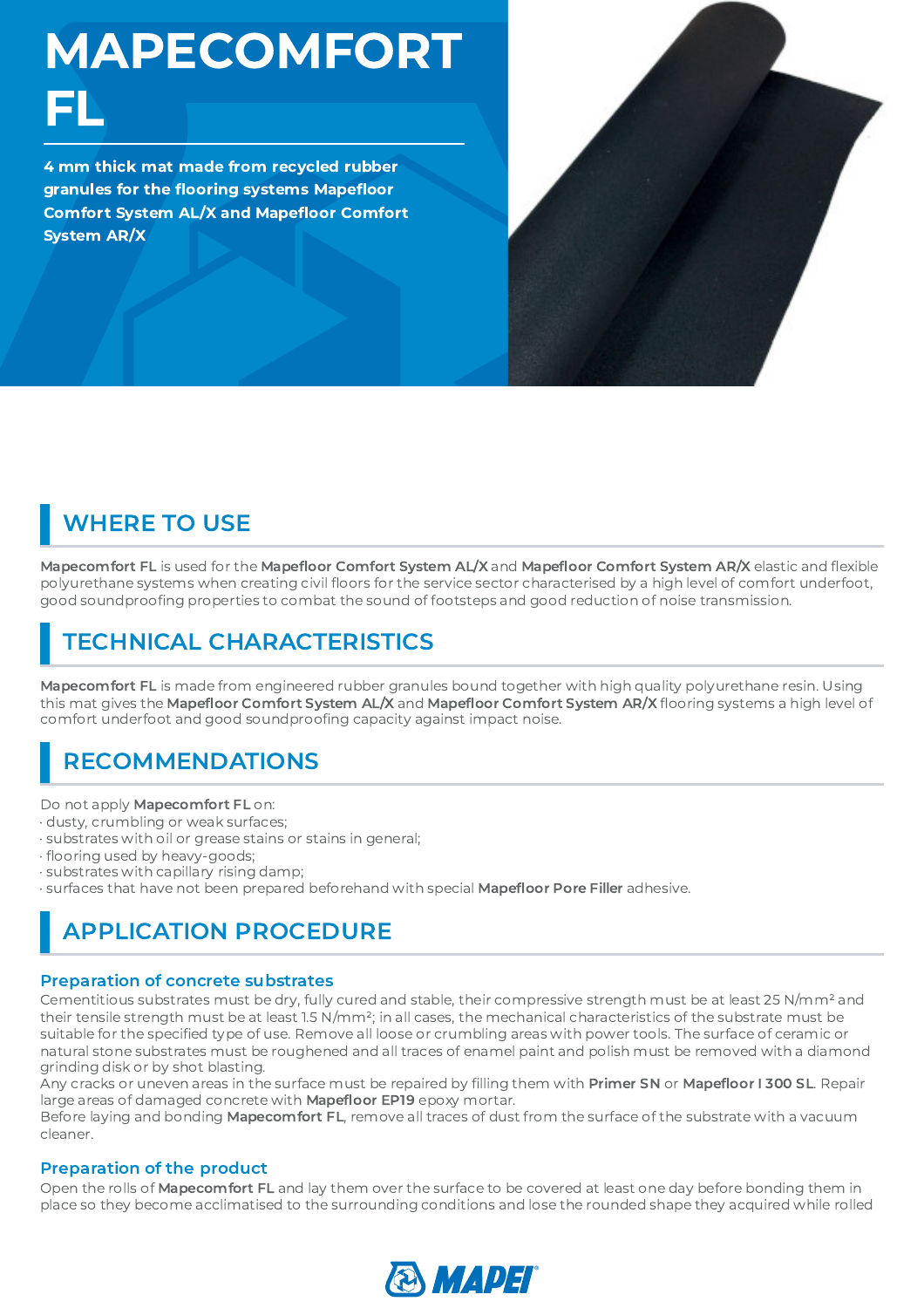MAPECOMFORT FL

4 mm thick mat made from recycled rubber granules for the flooring systems Mapefloor flooring systems Mapefloor<br>AL/X and Mapefloor Comfo Comfort System AL/X and Mapefloor Comfort<br>System AR/X System AR/X



# WHERE TO USE

Mapecomfort FL is used for the Mapefloor Comfort System AL/X and Mapefloor Comfort System AR/X elastic and flexible<br>polyurethane systems when creating civil floors for the service sector characterised by a high level of co polyurethane systems when creating civil floors for the service sector characterised by a high level of comfort underfoot,<br>good soundproofing properties to combat the sound of footsteps and good reduction of noise transmis good soundproofing properties to combat the sound of footsteps and good reduction of noise transmission.

## TECHNICAL CHARACTERISTICS

Mapecomfort FL is made from engineered rubber granules bound together with high quality polyurethane resin. Using this mat gives the Mapefloor Comfort System AL/X and Mapefloor Comfort System AR/X flooring systems a high level of comfort underfoot and good soundproofing capacity against impact noise.

## RECOMMENDATIONS

Do not apply Mapecomfort FL on:

- · dusty, crumbling or weak surfaces;
- · substrates with oil or grease stains or stains in general;
- · flooring used by heavy-goods;
- flooring used by heavy-goods;<br>substrates with capillary rising<br>surfaces that have not been pr<br>. · substrates with capillary rising damp;
- 

### · surfaces that have not been prepared beforehand with special **Mapefloor Pore Filler** adhesive.<br>|-<br>| APPLICATION PROCEDURE APPLICATION PROCEDURE

#### Preparation of concrete substrates

Cementitious substrates must be dry, fully cured and stable, their compressive strength must be at least 25 N/mm² and their tensile strength must be at least 1.5 N/mm<sup>2</sup>; in all cases, the mechanical characteristics of the substrate must be<br>suitable for the specified type of use. Remove all loose or crumbling areas with power tools. The s natural stone substrates must be roughened and all traces of enamel paint and polish must be removed with a diamond grinding disk or by shot blasting.

Any cracks or uneven areas in the surface must be repaired by filling them with **Primer SN** or **Mapefloor I 300 SL**. Repair<br>Iarge areas of damaged concrete with **Mapefloor EP19** epoxy mortar.

Any cracks or uneven areas in the surface must be repaired by filling them with **Primer SN** or **Mapefloor I 300 SL**. Repair<br>large areas of damaged concrete with **Mapefloor EP19** epoxy mortar.<br>Before laying and bonding **Map** large areas of damaged concrete with **Mapefloor EP19** epoxy mortar.<br>Before laying and bonding **Mapecomfort FL**, remove all traces of dust<br>cleaner. Before laying and bonding Mapecomfort FL, remove all traces of dust from the surface of the substrate with a vacuum cleaner.

#### Preparation of the product

Open the rolls of Mapecomfort FL and lay them over the surface to be covered at least one day before bonding them in place so they become acclimatised to the surrounding conditions and lose the rounded shape they acquired while rolled

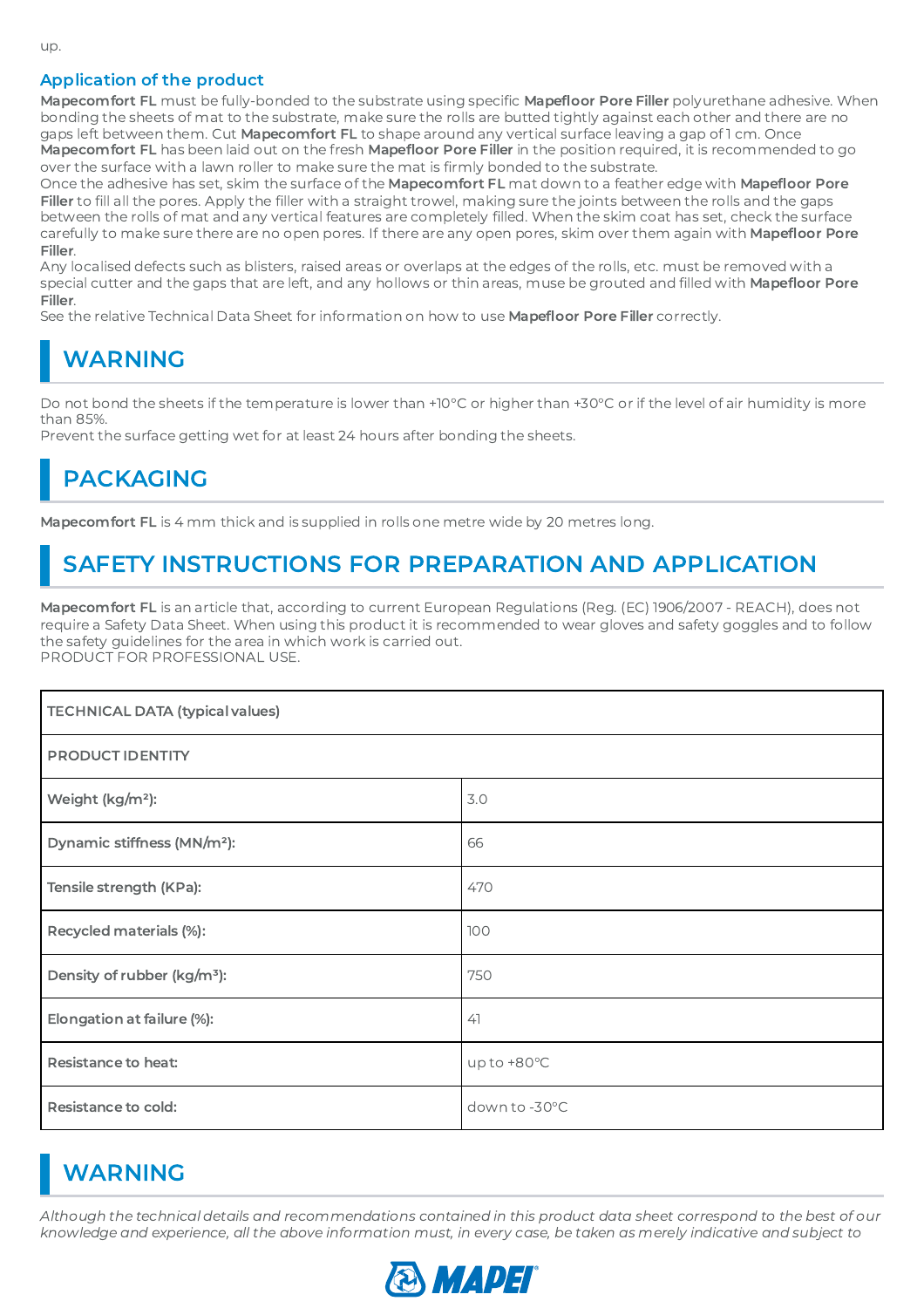#### Application of the product

**Mapecomfort FL** must be fully-bonded to the substrate using specific **Mapefloor Pore Filler** polyurethane adhesive. When<br>bonding the sheets of mat to the substrate, make sure the rolls are butted tightly against each othe bonding the sheets of mat to the substrate, make sure the rolls are butted tightly against each other and there are no

**Mapecomfort FL** has been laid out on the fresh **Mapefloor Pore Filler** in the position required, it is recommended to go<br>over the surface with a lawn roller to make sure the mat is firmly bonded to the substrate.<br>Once the over the surface with a lawn roller to make sure the mat is firmly bonded to the substrate.<br>Once the adhesive has set, skim the surface of the **Mapecomfort FL** mat down to a feathe<br>**Filler** to fill all the pores. Apply the Once the adhesive has set, skim the surface of the **Mapecomfort FL** mat down to a feather edge with **Mapefloor Pore**<br>Filler to fill all the pores. Apply the filler with a straight trowel, making sure the joints between the Filler to fill all the pores. Apply the filler with a straight trowel, making sure the joints between the rolls and the gaps fill all the pores. Apply the filler with a straight trowel, making sure the joints between the rolls and the gaps<br>1 the rolls of mat and any vertical features are completely filled. When the skim coat has set, check the s carefully to make sure there are no open pores. If there are any open pores, skim over them again with Mapefloor Pore Filler.

carefully to make sure there are no open pores. If there are any open pores, skim over them again with **Mapefloor Pore**<br>**Filler**.<br>Any localised defects such as blisters, raised areas or overlaps at the edges of the rolls, special cutter and the gaps that are left, and any hollows or thin areas, muse be grouted and filled with **Mapefloor Pore**<br>**Filler**.<br>See the relative Technical Data Sheet for information on how to use **Mapefloor Pore Fille** Filler.

See the relative Technical Data Sheet for information on how to use **Mapefloor Pore Filler** correctly.<br>N**ARNING** 

### WARNING

Do not bond the sheets if the temperature is lower than +10°C or higher than +30°C or if the level of air humidity is more than 85%.

Prevent the surface getting wet for at least 24 hours after bonding the sheets.

### PACKAGING

Mapecomfort FL is 4 mm thick and is supplied in rolls one metre wide by 20 metres long.

### SAFETY INSTRUCTIONS FOR PREPARATION AND APPLICATION

Mapecomfort FL is an article that, according to current European Regulations (Reg. (EC) 1906/2007 - REACH), does not require a Safety Data Sheet. When using this product it is recommended to wear gloves and safety goggles and to follow the safety guidelines for the area in which work is carried out. PRODUCT FOR PROFESSIONAL USE.

| <b>TECHNICAL DATA (typical values)</b>  |               |
|-----------------------------------------|---------------|
| PRODUCT IDENTITY                        |               |
| Weight (kg/m <sup>2</sup> ):            | 3.0           |
| Dynamic stiffness (MN/m <sup>2</sup> ): | 66            |
| Tensile strength (KPa):                 | 470           |
| Recycled materials (%):                 | 100           |
| Density of rubber (kg/m <sup>3</sup> ): | 750           |
| Elongation at failure (%):              | 41            |
| <b>Resistance to heat:</b>              | up to +80°C   |
| Resistance to cold:                     | down to -30°C |

### WARNING

Although the technical details and recommendations contained in this product data sheet correspond to the best of our knowledge and experience, all the above information must, in every case, be taken as merely indicative and subject to